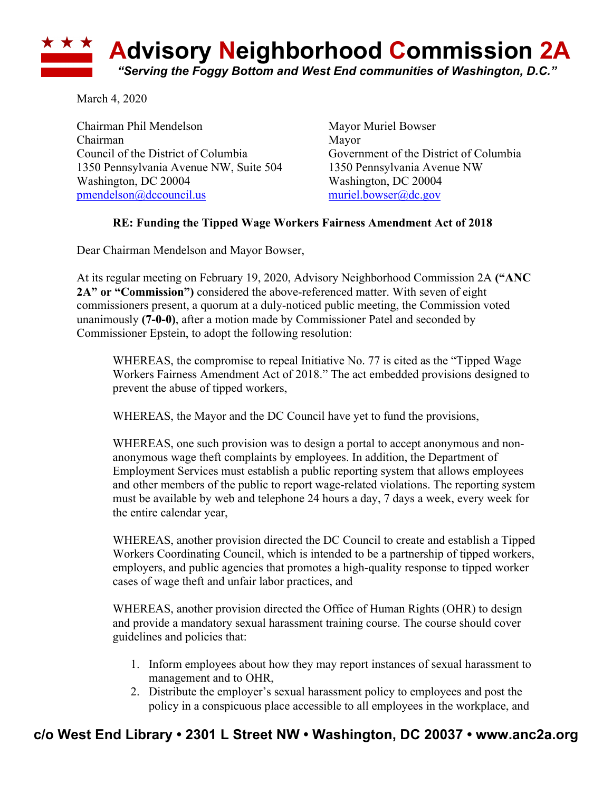

March 4, 2020

Chairman Phil Mendelson Mayor Muriel Bowser Chairman Mayor Council of the District of Columbia Government of the District of Columbia 1350 Pennsylvania Avenue NW, Suite 504 1350 Pennsylvania Avenue NW Washington, DC 20004 Washington, DC 20004 pmendelson@dccouncil.us muriel.bowser@dc.gov

## **RE: Funding the Tipped Wage Workers Fairness Amendment Act of 2018**

Dear Chairman Mendelson and Mayor Bowser,

At its regular meeting on February 19, 2020, Advisory Neighborhood Commission 2A **("ANC 2A" or "Commission")** considered the above-referenced matter. With seven of eight commissioners present, a quorum at a duly-noticed public meeting, the Commission voted unanimously **(7-0-0)**, after a motion made by Commissioner Patel and seconded by Commissioner Epstein, to adopt the following resolution:

WHEREAS, the compromise to repeal Initiative No. 77 is cited as the "Tipped Wage Workers Fairness Amendment Act of 2018." The act embedded provisions designed to prevent the abuse of tipped workers,

WHEREAS, the Mayor and the DC Council have yet to fund the provisions,

WHEREAS, one such provision was to design a portal to accept anonymous and nonanonymous wage theft complaints by employees. In addition, the Department of Employment Services must establish a public reporting system that allows employees and other members of the public to report wage-related violations. The reporting system must be available by web and telephone 24 hours a day, 7 days a week, every week for the entire calendar year,

WHEREAS, another provision directed the DC Council to create and establish a Tipped Workers Coordinating Council, which is intended to be a partnership of tipped workers, employers, and public agencies that promotes a high-quality response to tipped worker cases of wage theft and unfair labor practices, and

WHEREAS, another provision directed the Office of Human Rights (OHR) to design and provide a mandatory sexual harassment training course. The course should cover guidelines and policies that:

- 1. Inform employees about how they may report instances of sexual harassment to management and to OHR,
- 2. Distribute the employer's sexual harassment policy to employees and post the policy in a conspicuous place accessible to all employees in the workplace, and

## **c/o West End Library • 2301 L Street NW • Washington, DC 20037 • www.anc2a.org**